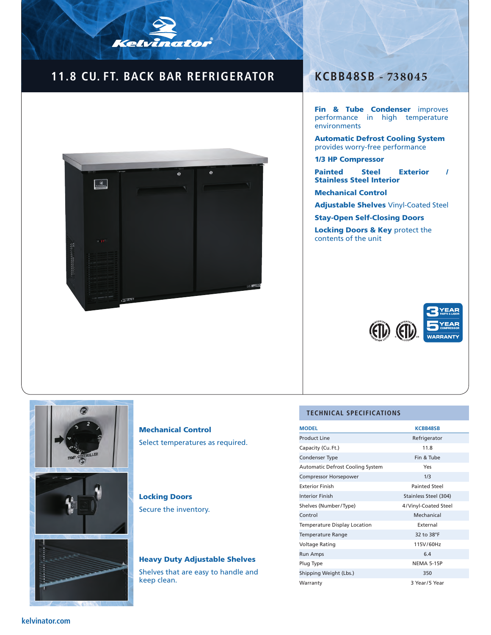## **11.8 CU. FT. BACK BAR REFRIGERATOR KCBB48SB - 738045**

Kelvinator



Fin & Tube Condenser improves performance in high temperature environments

Automatic Defrost Cooling System provides worry-free performance

1/3 HP Compressor

Painted Steel Exterior / Stainless Steel Interior

Mechanical Control

Adjustable Shelves Vinyl-Coated Steel

Stay-Open Self-Closing Doors

Locking Doors & Key protect the contents of the unit





Mechanical Control Select temperatures as required.

### Locking Doors

Secure the inventory.

# Heavy Duty Adjustable Shelves

Shelves that are easy to handle and keep clean.

#### **TECHNICAL SPECIFICATIONS**

| <b>MODEL</b>                            | <b>KCBB48SB</b>       |  |
|-----------------------------------------|-----------------------|--|
| <b>Product Line</b>                     | Refrigerator          |  |
| Capacity (Cu. Ft.)                      | 11.8                  |  |
| Condenser Type                          | Fin & Tube            |  |
| <b>Automatic Defrost Cooling System</b> | Yes                   |  |
| <b>Compressor Horsepower</b>            | 1/3                   |  |
| <b>Exterior Finish</b>                  | <b>Painted Steel</b>  |  |
| <b>Interior Finish</b>                  | Stainless Steel (304) |  |
| Shelves (Number/Type)                   | 4/Vinyl-Coated Steel  |  |
| Control                                 | Mechanical            |  |
| Temperature Display Location            | External              |  |
| <b>Temperature Range</b>                | 32 to 38°F            |  |
| Voltage Rating                          | 115V/60Hz             |  |
| <b>Run Amps</b>                         | 6.4                   |  |
| Plug Type                               | <b>NEMA 5-15P</b>     |  |
| Shipping Weight (Lbs.)                  | 350                   |  |
| Warranty                                | 3 Year/5 Year         |  |